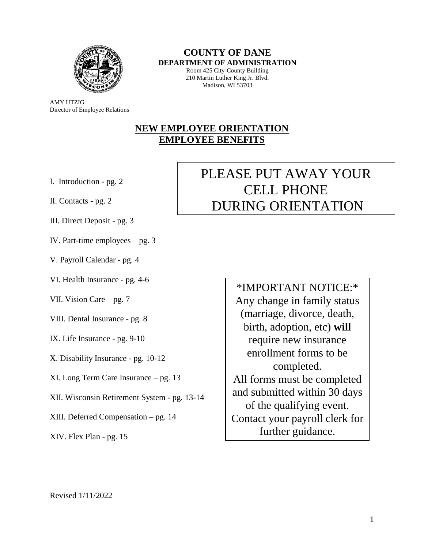

**COUNTY OF DANE DEPARTMENT OF ADMINISTRATION**

Room 425 City-County Building 210 Martin Luther King Jr. Blvd. Madison, WI 53703

AMY UTZIG Director of Employee Relations

### **NEW EMPLOYEE ORIENTATION EMPLOYEE BENEFITS**

- I. Introduction pg. 2
- II. Contacts pg. 2
- III. Direct Deposit pg. 3
- IV. Part-time employees pg. 3
- V. Payroll Calendar pg. 4
- VI. Health Insurance pg. 4-6
- VII. Vision Care pg. 7
- VIII. Dental Insurance pg. 8
- IX. Life Insurance pg. 9-10
- X. Disability Insurance pg. 10-12
- XI. Long Term Care Insurance pg. 13
- XII. Wisconsin Retirement System pg. 13-14
- XIII. Deferred Compensation pg. 14
- XIV. Flex Plan pg. 15

# PLEASE PUT AWAY YOUR CELL PHONE DURING ORIENTATION

\*IMPORTANT NOTICE:\* Any change in family status (marriage, divorce, death, birth, adoption, etc) **will** require new insurance enrollment forms to be completed. All forms must be completed and submitted within 30 days of the qualifying event. Contact your payroll clerk for further guidance.

#### Revised 1/11/2022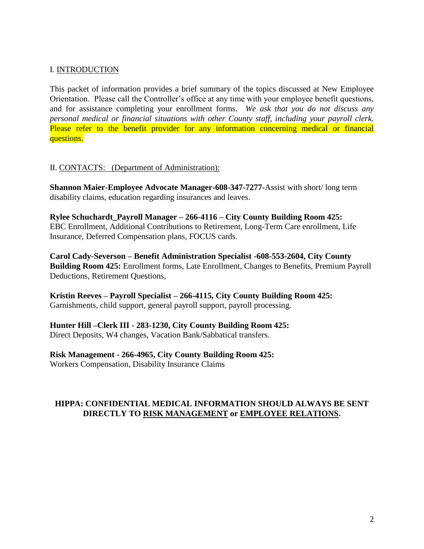#### I. INTRODUCTION

This packet of information provides a brief summary of the topics discussed at New Employee Orientation. Please call the Controller's office at any time with your employee benefit questions, and for assistance completing your enrollment forms. *We ask that you do not discuss any personal medical or financial situations with other County staff, including your payroll clerk.* Please refer to the benefit provider for any information concerning medical or financial questions.

#### II. CONTACTS: (Department of Administration):

**Shannon Maier-Employee Advocate Manager-608-347-7277-**Assist with short/ long term disability claims, education regarding insurances and leaves.

**Rylee Schuchardt\_Payroll Manager – 266-4116 – City County Building Room 425:** EBC Enrollment, Additional Contributions to Retirement, Long-Term Care enrollment, Life Insurance, Deferred Compensation plans, FOCUS cards.

**Carol Cady-Severson – Benefit Administration Specialist -608-553-2604, City County Building Room 425:** Enrollment forms, Late Enrollment, Changes to Benefits, Premium Payroll Deductions, Retirement Questions,

**Kristin Reeves – Payroll Specialist – 266-4115, City County Building Room 425:** Garnishments, child support, general payroll support, payroll processing.

**Hunter Hill –Clerk III - 283-1230, City County Building Room 425:** Direct Deposits, W4 changes, Vacation Bank/Sabbatical transfers.

**Risk Management - 266-4965, City County Building Room 425:** Workers Compensation, Disability Insurance Claims

#### **HIPPA: CONFIDENTIAL MEDICAL INFORMATION SHOULD ALWAYS BE SENT DIRECTLY TO RISK MANAGEMENT or EMPLOYEE RELATIONS.**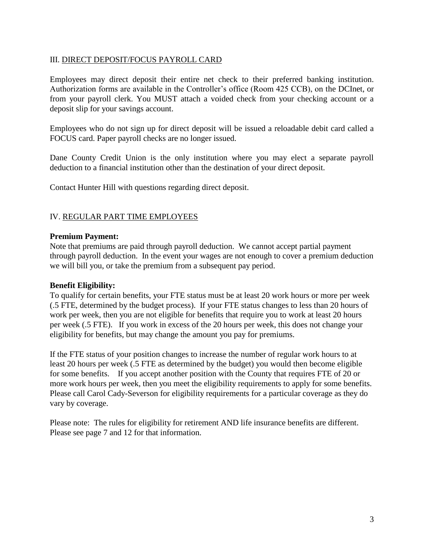#### III. DIRECT DEPOSIT/FOCUS PAYROLL CARD

Employees may direct deposit their entire net check to their preferred banking institution. Authorization forms are available in the Controller's office (Room 425 CCB), on the DCInet, or from your payroll clerk. You MUST attach a voided check from your checking account or a deposit slip for your savings account.

Employees who do not sign up for direct deposit will be issued a reloadable debit card called a FOCUS card. Paper payroll checks are no longer issued.

Dane County Credit Union is the only institution where you may elect a separate payroll deduction to a financial institution other than the destination of your direct deposit.

Contact Hunter Hill with questions regarding direct deposit.

#### IV. REGULAR PART TIME EMPLOYEES

#### **Premium Payment:**

Note that premiums are paid through payroll deduction. We cannot accept partial payment through payroll deduction. In the event your wages are not enough to cover a premium deduction we will bill you, or take the premium from a subsequent pay period.

#### **Benefit Eligibility:**

To qualify for certain benefits, your FTE status must be at least 20 work hours or more per week (.5 FTE, determined by the budget process). If your FTE status changes to less than 20 hours of work per week, then you are not eligible for benefits that require you to work at least 20 hours per week (.5 FTE). If you work in excess of the 20 hours per week, this does not change your eligibility for benefits, but may change the amount you pay for premiums.

If the FTE status of your position changes to increase the number of regular work hours to at least 20 hours per week (.5 FTE as determined by the budget) you would then become eligible for some benefits. If you accept another position with the County that requires FTE of 20 or more work hours per week, then you meet the eligibility requirements to apply for some benefits. Please call Carol Cady-Severson for eligibility requirements for a particular coverage as they do vary by coverage.

Please note: The rules for eligibility for retirement AND life insurance benefits are different. Please see page 7 and 12 for that information.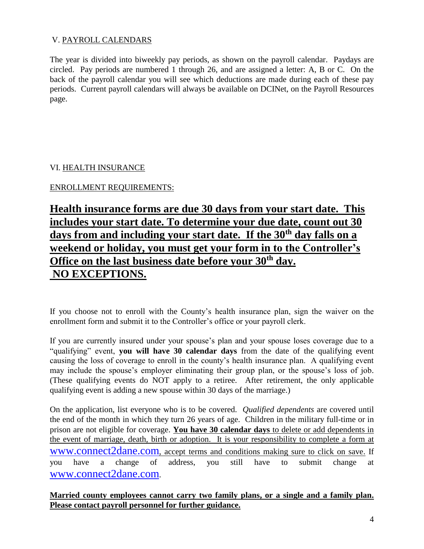#### V. PAYROLL CALENDARS

The year is divided into biweekly pay periods, as shown on the payroll calendar. Paydays are circled. Pay periods are numbered 1 through 26, and are assigned a letter: A, B or C. On the back of the payroll calendar you will see which deductions are made during each of these pay periods. Current payroll calendars will always be available on DCINet, on the Payroll Resources page.

#### VI. HEALTH INSURANCE

### ENROLLMENT REQUIREMENTS:

# **Health insurance forms are due 30 days from your start date. This includes your start date. To determine your due date, count out 30 days from and including your start date. If the 30th day falls on a weekend or holiday, you must get your form in to the Controller's Office on the last business date before your 30th day. NO EXCEPTIONS.**

If you choose not to enroll with the County's health insurance plan, sign the waiver on the enrollment form and submit it to the Controller's office or your payroll clerk.

If you are currently insured under your spouse's plan and your spouse loses coverage due to a "qualifying" event, **you will have 30 calendar days** from the date of the qualifying event causing the loss of coverage to enroll in the county's health insurance plan. A qualifying event may include the spouse's employer eliminating their group plan, or the spouse's loss of job. (These qualifying events do NOT apply to a retiree. After retirement, the only applicable qualifying event is adding a new spouse within 30 days of the marriage.)

On the application, list everyone who is to be covered. *Qualified dependents* are covered until the end of the month in which they turn 26 years of age. Children in the military full-time or in prison are not eligible for coverage. **You have 30 calendar days** to delete or add dependents in the event of marriage, death, birth or adoption. It is your responsibility to complete a form at [www.connect2dane.com](http://www.connect2dane.com/), accept terms and conditions making sure to click on save. If you have a change of address, you still have to submit change at [www.connect2dane.com](http://www.connect2dane.com/).

**Married county employees cannot carry two family plans, or a single and a family plan. Please contact payroll personnel for further guidance.**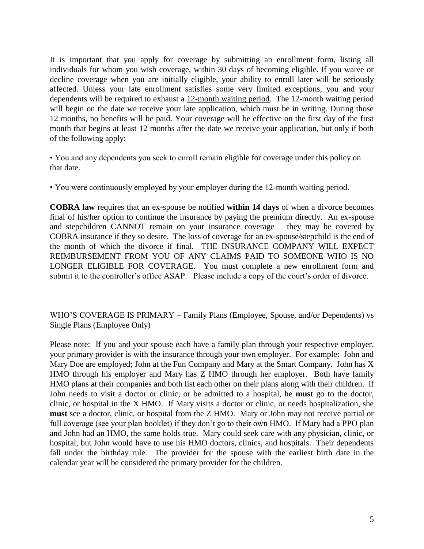It is important that you apply for coverage by submitting an enrollment form, listing all individuals for whom you wish coverage, within 30 days of becoming eligible. If you waive or decline coverage when you are initially eligible, your ability to enroll later will be seriously affected. Unless your late enrollment satisfies some very limited exceptions, you and your dependents will be required to exhaust a 12-month waiting period. The 12-month waiting period will begin on the date we receive your late application, which must be in writing. During those 12 months, no benefits will be paid. Your coverage will be effective on the first day of the first month that begins at least 12 months after the date we receive your application, but only if both of the following apply:

• You and any dependents you seek to enroll remain eligible for coverage under this policy on that date.

• You were continuously employed by your employer during the 12-month waiting period.

**COBRA law** requires that an ex-spouse be notified **within 14 days** of when a divorce becomes final of his/her option to continue the insurance by paying the premium directly. An ex-spouse and stepchildren CANNOT remain on your insurance coverage – they may be covered by COBRA insurance if they so desire. The loss of coverage for an ex-spouse/stepchild is the end of the month of which the divorce if final. THE INSURANCE COMPANY WILL EXPECT REIMBURSEMENT FROM YOU OF ANY CLAIMS PAID TO SOMEONE WHO IS NO LONGER ELIGIBLE FOR COVERAGE.You must complete a new enrollment form and submit it to the controller's office ASAP. Please include a copy of the court's order of divorce.

#### WHO'S COVERAGE IS PRIMARY – Family Plans (Employee, Spouse, and/or Dependents) vs Single Plans (Employee Only)

Please note: If you and your spouse each have a family plan through your respective employer, your primary provider is with the insurance through your own employer. For example: John and Mary Doe are employed; John at the Fun Company and Mary at the Smart Company. John has X HMO through his employer and Mary has Z HMO through her employer. Both have family HMO plans at their companies and both list each other on their plans along with their children. If John needs to visit a doctor or clinic, or be admitted to a hospital, he **must** go to the doctor, clinic, or hospital in the X HMO. If Mary visits a doctor or clinic, or needs hospitalization, she **must** see a doctor, clinic, or hospital from the Z HMO. Mary or John may not receive partial or full coverage (see your plan booklet) if they don't go to their own HMO. If Mary had a PPO plan and John had an HMO, the same holds true. Mary could seek care with any physician, clinic, or hospital, but John would have to use his HMO doctors, clinics, and hospitals. Their dependents fall under the birthday rule. The provider for the spouse with the earliest birth date in the calendar year will be considered the primary provider for the children.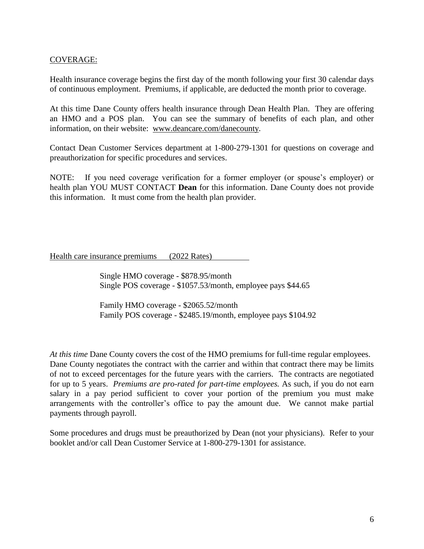#### COVERAGE:

Health insurance coverage begins the first day of the month following your first 30 calendar days of continuous employment. Premiums, if applicable, are deducted the month prior to coverage.

At this time Dane County offers health insurance through Dean Health Plan. They are offering an HMO and a POS plan. You can see the summary of benefits of each plan, and other information, on their website: [www.deancare.com/danecounty.](http://www.deancare.com/danecounty)

Contact Dean Customer Services department at 1-800-279-1301 for questions on coverage and preauthorization for specific procedures and services.

NOTE: If you need coverage verification for a former employer (or spouse's employer) or health plan YOU MUST CONTACT **Dean** for this information. Dane County does not provide this information. It must come from the health plan provider.

Health care insurance premiums (2022 Rates)

Single HMO coverage - \$878.95/month Single POS coverage - \$1057.53/month, employee pays \$44.65

Family HMO coverage - \$2065.52/month Family POS coverage - \$2485.19/month, employee pays \$104.92

*At this time* Dane County covers the cost of the HMO premiums for full-time regular employees. Dane County negotiates the contract with the carrier and within that contract there may be limits of not to exceed percentages for the future years with the carriers. The contracts are negotiated for up to 5 years. *Premiums are pro-rated for part-time employees.* As such, if you do not earn salary in a pay period sufficient to cover your portion of the premium you must make arrangements with the controller's office to pay the amount due. We cannot make partial payments through payroll.

Some procedures and drugs must be preauthorized by Dean (not your physicians). Refer to your booklet and/or call Dean Customer Service at 1-800-279-1301 for assistance.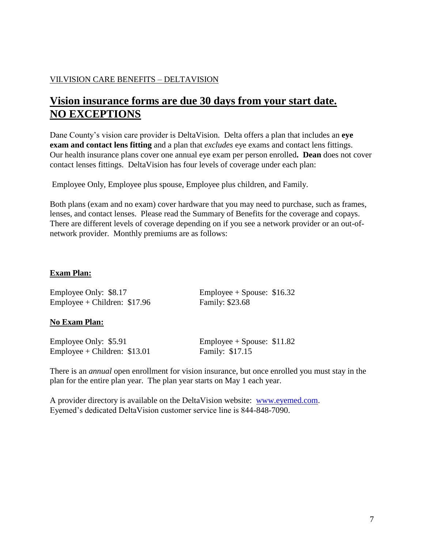#### VII.VISION CARE BENEFITS – DELTAVISION

# **Vision insurance forms are due 30 days from your start date. NO EXCEPTIONS**

Dane County's vision care provider is DeltaVision. Delta offers a plan that includes an **eye exam and contact lens fitting** and a plan that *excludes* eye exams and contact lens fittings. Our health insurance plans cover one annual eye exam per person enrolled**. Dean** does not cover contact lenses fittings. DeltaVision has four levels of coverage under each plan:

Employee Only, Employee plus spouse, Employee plus children, and Family.

Both plans (exam and no exam) cover hardware that you may need to purchase, such as frames, lenses, and contact lenses. Please read the Summary of Benefits for the coverage and copays. There are different levels of coverage depending on if you see a network provider or an out-ofnetwork provider. Monthly premiums are as follows:

#### **Exam Plan:**

Employee Only: \$8.17 Employee + Spouse: \$16.32 Employee + Children: \$17.96 Family: \$23.68

#### **No Exam Plan:**

Employee Only: \$5.91 Employee + Spouse: \$11.82 Employee + Children:  $$13.01$  Family:  $$17.15$ 

There is an *annual* open enrollment for vision insurance, but once enrolled you must stay in the plan for the entire plan year. The plan year starts on May 1 each year.

A provider directory is available on the DeltaVision website: [www.eyemed.com.](http://www.eyemed.com/) Eyemed's dedicated DeltaVision customer service line is 844-848-7090.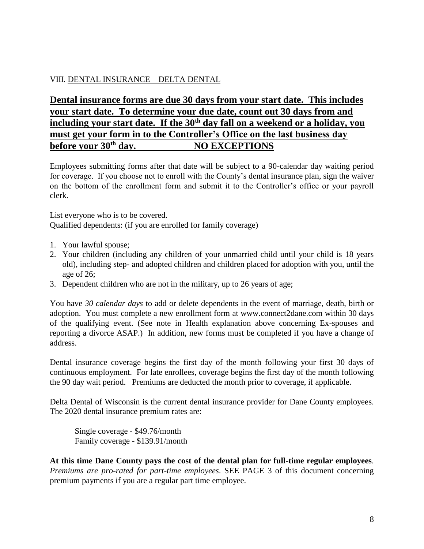#### VIII. DENTAL INSURANCE – DELTA DENTAL

# **Dental insurance forms are due 30 days from your start date. This includes your start date. To determine your due date, count out 30 days from and including your start date. If the 30th day fall on a weekend or a holiday, you must get your form in to the Controller's Office on the last business day before your 30th day. NO EXCEPTIONS**

Employees submitting forms after that date will be subject to a 90-calendar day waiting period for coverage. If you choose not to enroll with the County's dental insurance plan, sign the waiver on the bottom of the enrollment form and submit it to the Controller's office or your payroll clerk.

List everyone who is to be covered. Qualified dependents: (if you are enrolled for family coverage)

- 1. Your lawful spouse;
- 2. Your children (including any children of your unmarried child until your child is 18 years old), including step- and adopted children and children placed for adoption with you, until the age of 26;
- 3. Dependent children who are not in the military, up to 26 years of age;

You have *30 calendar days* to add or delete dependents in the event of marriage, death, birth or adoption. You must complete a new enrollment form at www.connect2dane.com within 30 days of the qualifying event. (See note in Health explanation above concerning Ex-spouses and reporting a divorce ASAP.) In addition, new forms must be completed if you have a change of address.

Dental insurance coverage begins the first day of the month following your first 30 days of continuous employment. For late enrollees, coverage begins the first day of the month following the 90 day wait period. Premiums are deducted the month prior to coverage, if applicable.

Delta Dental of Wisconsin is the current dental insurance provider for Dane County employees. The 2020 dental insurance premium rates are:

Single coverage - \$49.76/month Family coverage - \$139.91/month

**At this time Dane County pays the cost of the dental plan for full-time regular employees**. *Premiums are pro-rated for part-time employees*. SEE PAGE 3 of this document concerning premium payments if you are a regular part time employee.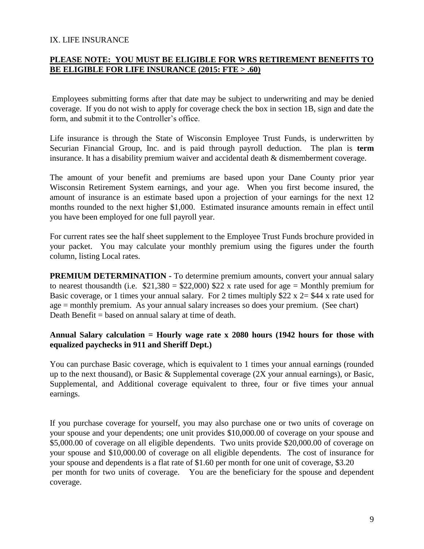#### IX. LIFE INSURANCE

#### **PLEASE NOTE: YOU MUST BE ELIGIBLE FOR WRS RETIREMENT BENEFITS TO BE ELIGIBLE FOR LIFE INSURANCE (2015: FTE > .60)**

Employees submitting forms after that date may be subject to underwriting and may be denied coverage. If you do not wish to apply for coverage check the box in section 1B, sign and date the form, and submit it to the Controller's office.

Life insurance is through the State of Wisconsin Employee Trust Funds, is underwritten by Securian Financial Group, Inc. and is paid through payroll deduction. The plan is **term** insurance. It has a disability premium waiver and accidental death & dismemberment coverage.

The amount of your benefit and premiums are based upon your Dane County prior year Wisconsin Retirement System earnings, and your age. When you first become insured, the amount of insurance is an estimate based upon a projection of your earnings for the next 12 months rounded to the next higher \$1,000. Estimated insurance amounts remain in effect until you have been employed for one full payroll year.

For current rates see the half sheet supplement to the Employee Trust Funds brochure provided in your packet. You may calculate your monthly premium using the figures under the fourth column, listing Local rates.

**PREMIUM DETERMINATION -** To determine premium amounts, convert your annual salary to nearest thousandth (i.e.  $$21,380 = $22,000$ ) \$22 x rate used for age = Monthly premium for Basic coverage, or 1 times your annual salary. For 2 times multiply  $22 \times 2 = 44 \times 20$  rate used for age = monthly premium. As your annual salary increases so does your premium. (See chart) Death Benefit = based on annual salary at time of death.

#### **Annual Salary calculation = Hourly wage rate x 2080 hours (1942 hours for those with equalized paychecks in 911 and Sheriff Dept.)**

You can purchase Basic coverage, which is equivalent to 1 times your annual earnings (rounded up to the next thousand), or Basic & Supplemental coverage (2X your annual earnings), or Basic, Supplemental, and Additional coverage equivalent to three, four or five times your annual earnings.

If you purchase coverage for yourself, you may also purchase one or two units of coverage on your spouse and your dependents; one unit provides \$10,000.00 of coverage on your spouse and \$5,000.00 of coverage on all eligible dependents. Two units provide \$20,000.00 of coverage on your spouse and \$10,000.00 of coverage on all eligible dependents. The cost of insurance for your spouse and dependents is a flat rate of \$1.60 per month for one unit of coverage, \$3.20 per month for two units of coverage. You are the beneficiary for the spouse and dependent coverage.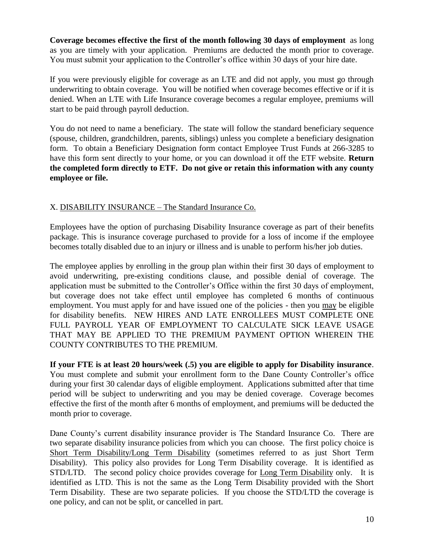**Coverage becomes effective the first of the month following 30 days of employment** as long as you are timely with your application. Premiums are deducted the month prior to coverage. You must submit your application to the Controller's office within 30 days of your hire date.

If you were previously eligible for coverage as an LTE and did not apply, you must go through underwriting to obtain coverage. You will be notified when coverage becomes effective or if it is denied. When an LTE with Life Insurance coverage becomes a regular employee, premiums will start to be paid through payroll deduction.

You do not need to name a beneficiary. The state will follow the standard beneficiary sequence (spouse, children, grandchildren, parents, siblings) unless you complete a beneficiary designation form. To obtain a Beneficiary Designation form contact Employee Trust Funds at 266-3285 to have this form sent directly to your home, or you can download it off the ETF website. **Return the completed form directly to ETF. Do not give or retain this information with any county employee or file.**

#### X. DISABILITY INSURANCE – The Standard Insurance Co.

Employees have the option of purchasing Disability Insurance coverage as part of their benefits package. This is insurance coverage purchased to provide for a loss of income if the employee becomes totally disabled due to an injury or illness and is unable to perform his/her job duties.

The employee applies by enrolling in the group plan within their first 30 days of employment to avoid underwriting, pre-existing conditions clause, and possible denial of coverage. The application must be submitted to the Controller's Office within the first 30 days of employment, but coverage does not take effect until employee has completed 6 months of continuous employment. You must apply for and have issued one of the policies - then you may be eligible for disability benefits. NEW HIRES AND LATE ENROLLEES MUST COMPLETE ONE FULL PAYROLL YEAR OF EMPLOYMENT TO CALCULATE SICK LEAVE USAGE THAT MAY BE APPLIED TO THE PREMIUM PAYMENT OPTION WHEREIN THE COUNTY CONTRIBUTES TO THE PREMIUM.

**If your FTE is at least 20 hours/week (.5) you are eligible to apply for Disability insurance**. You must complete and submit your enrollment form to the Dane County Controller's office during your first 30 calendar days of eligible employment. Applications submitted after that time period will be subject to underwriting and you may be denied coverage. Coverage becomes effective the first of the month after 6 months of employment, and premiums will be deducted the month prior to coverage.

Dane County's current disability insurance provider is The Standard Insurance Co. There are two separate disability insurance policies from which you can choose. The first policy choice is Short Term Disability/Long Term Disability (sometimes referred to as just Short Term Disability). This policy also provides for Long Term Disability coverage. It is identified as STD/LTD. The second policy choice provides coverage for Long Term Disability only. It is identified as LTD. This is not the same as the Long Term Disability provided with the Short Term Disability. These are two separate policies. If you choose the STD/LTD the coverage is one policy, and can not be split, or cancelled in part.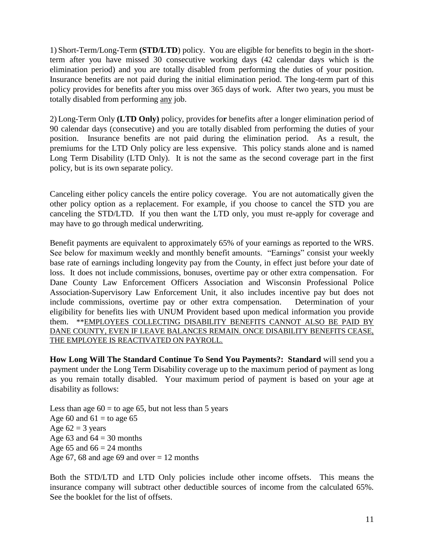1) Short-Term/Long-Term **(STD/LTD**) policy. You are eligible for benefits to begin in the shortterm after you have missed 30 consecutive working days (42 calendar days which is the elimination period) and you are totally disabled from performing the duties of your position. Insurance benefits are not paid during the initial elimination period. The long-term part of this policy provides for benefits after you miss over 365 days of work. After two years, you must be totally disabled from performing any job.

2) Long-Term Only **(LTD Only)** policy, providesfo**r** benefits after a longer elimination period of 90 calendar days (consecutive) and you are totally disabled from performing the duties of your position. Insurance benefits are not paid during the elimination period. As a result, the premiums for the LTD Only policy are less expensive. This policy stands alone and is named Long Term Disability (LTD Only). It is not the same as the second coverage part in the first policy, but is its own separate policy.

Canceling either policy cancels the entire policy coverage. You are not automatically given the other policy option as a replacement. For example, if you choose to cancel the STD you are canceling the STD/LTD. If you then want the LTD only, you must re-apply for coverage and may have to go through medical underwriting.

Benefit payments are equivalent to approximately 65% of your earnings as reported to the WRS. See below for maximum weekly and monthly benefit amounts. "Earnings" consist your weekly base rate of earnings including longevity pay from the County, in effect just before your date of loss. It does not include commissions, bonuses, overtime pay or other extra compensation. For Dane County Law Enforcement Officers Association and Wisconsin Professional Police Association-Supervisory Law Enforcement Unit, it also includes incentive pay but does not include commissions, overtime pay or other extra compensation. Determination of your eligibility for benefits lies with UNUM Provident based upon medical information you provide them. \*\*EMPLOYEES COLLECTING DISABILITY BENEFITS CANNOT ALSO BE PAID BY DANE COUNTY, EVEN IF LEAVE BALANCES REMAIN. ONCE DISABILITY BENEFITS CEASE, THE EMPLOYEE IS REACTIVATED ON PAYROLL.

**How Long Will The Standard Continue To Send You Payments?: Standard** will send you a payment under the Long Term Disability coverage up to the maximum period of payment as long as you remain totally disabled. Your maximum period of payment is based on your age at disability as follows:

Less than age  $60 =$  to age 65, but not less than 5 years Age 60 and  $61 =$  to age 65 Age  $62 = 3$  years Age 63 and  $64 = 30$  months Age 65 and  $66 = 24$  months Age 67, 68 and age 69 and over  $= 12$  months

Both the STD/LTD and LTD Only policies include other income offsets. This means the insurance company will subtract other deductible sources of income from the calculated 65%. See the booklet for the list of offsets.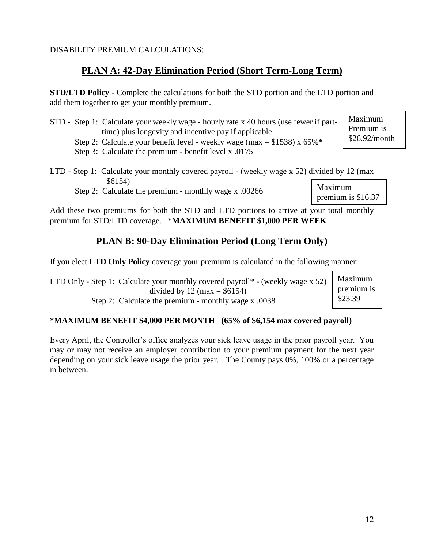12

### DISABILITY PREMIUM CALCULATIONS:

# **PLAN A: 42-Day Elimination Period (Short Term-Long Term)**

**STD/LTD Policy** - Complete the calculations for both the STD portion and the LTD portion and add them together to get your monthly premium.

- STD Step 1: Calculate your weekly wage hourly rate x 40 hours (use fewer if part time) plus longevity and incentive pay if applicable.
	- Step 2: Calculate your benefit level weekly wage (max = \$1538) x 65%**\***
	- Step 3: Calculate the premium benefit level x .0175
- LTD Step 1: Calculate your monthly covered payroll (weekly wage x 52) divided by 12 (max  $= $6154$

Step 2: Calculate the premium - monthly wage x .00266

Add these two premiums for both the STD and LTD portions to arrive at your total monthly premium for STD/LTD coverage. \***MAXIMUM BENEFIT \$1,000 PER WEEK**

# **PLAN B: 90-Day Elimination Period (Long Term Only)**

If you elect **LTD Only Policy** coverage your premium is calculated in the following manner:

LTD Only - Step 1: Calculate your monthly covered payroll\* - (weekly wage x 52) divided by 12 (max  $= $6154$ ) Step 2: Calculate the premium - monthly wage x .0038 Maximum premium is \$23.39

## **\*MAXIMUM BENEFIT \$4,000 PER MONTH (65% of \$6,154 max covered payroll)**

Every April, the Controller's office analyzes your sick leave usage in the prior payroll year. You may or may not receive an employer contribution to your premium payment for the next year depending on your sick leave usage the prior year. The County pays 0%, 100% or a percentage in between.

Maximum premium is \$16.37

\$26.92/month

Maximum Premium is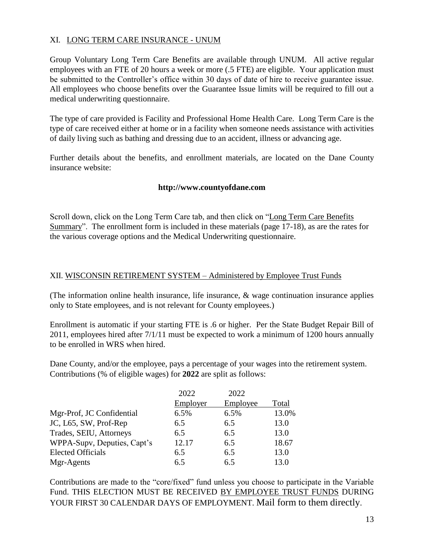#### XI. LONG TERM CARE INSURANCE - UNUM

Group Voluntary Long Term Care Benefits are available through UNUM. All active regular employees with an FTE of 20 hours a week or more (.5 FTE) are eligible. Your application must be submitted to the Controller's office within 30 days of date of hire to receive guarantee issue. All employees who choose benefits over the Guarantee Issue limits will be required to fill out a medical underwriting questionnaire.

The type of care provided is Facility and Professional Home Health Care. Long Term Care is the type of care received either at home or in a facility when someone needs assistance with activities of daily living such as bathing and dressing due to an accident, illness or advancing age.

Further details about the benefits, and enrollment materials, are located on the Dane County insurance website:

#### **http://www.countyofdane.com**

Scroll down, click on the Long Term Care tab, and then click on "Long Term Care Benefits Summary". The enrollment form is included in these materials (page 17-18), as are the rates for the various coverage options and the Medical Underwriting questionnaire.

#### XII. WISCONSIN RETIREMENT SYSTEM – Administered by Employee Trust Funds

(The information online health insurance, life insurance, & wage continuation insurance applies only to State employees, and is not relevant for County employees.)

Enrollment is automatic if your starting FTE is .6 or higher. Per the State Budget Repair Bill of 2011, employees hired after 7/1/11 must be expected to work a minimum of 1200 hours annually to be enrolled in WRS when hired.

Dane County, and/or the employee, pays a percentage of your wages into the retirement system. Contributions (% of eligible wages) for **2022** are split as follows:

|                             | 2022     | 2022     |       |
|-----------------------------|----------|----------|-------|
|                             | Employer | Employee | Total |
| Mgr-Prof, JC Confidential   | 6.5%     | 6.5%     | 13.0% |
| JC, L65, SW, Prof-Rep       | 6.5      | 6.5      | 13.0  |
| Trades, SEIU, Attorneys     | 6.5      | 6.5      | 13.0  |
| WPPA-Supv, Deputies, Capt's | 12.17    | 6.5      | 18.67 |
| <b>Elected Officials</b>    | 6.5      | 6.5      | 13.0  |
| Mgr-Agents                  | 6.5      | 6.5      | 13.0  |

Contributions are made to the "core/fixed" fund unless you choose to participate in the Variable Fund. THIS ELECTION MUST BE RECEIVED BY EMPLOYEE TRUST FUNDS DURING YOUR FIRST 30 CALENDAR DAYS OF EMPLOYMENT. Mail form to them directly.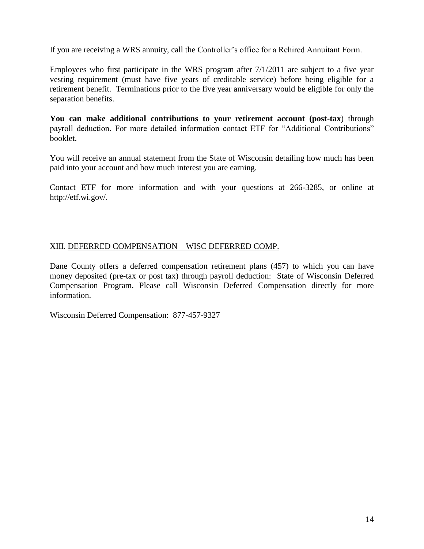If you are receiving a WRS annuity, call the Controller's office for a Rehired Annuitant Form.

Employees who first participate in the WRS program after  $7/1/2011$  are subject to a five year vesting requirement (must have five years of creditable service) before being eligible for a retirement benefit. Terminations prior to the five year anniversary would be eligible for only the separation benefits.

**You can make additional contributions to your retirement account (post-tax**) through payroll deduction. For more detailed information contact ETF for "Additional Contributions" booklet.

You will receive an annual statement from the State of Wisconsin detailing how much has been paid into your account and how much interest you are earning.

Contact ETF for more information and with your questions at 266-3285, or online at http://etf.wi.gov/.

#### XIII. DEFERRED COMPENSATION – WISC DEFERRED COMP.

Dane County offers a deferred compensation retirement plans (457) to which you can have money deposited (pre-tax or post tax) through payroll deduction: State of Wisconsin Deferred Compensation Program. Please call Wisconsin Deferred Compensation directly for more information.

Wisconsin Deferred Compensation: 877-457-9327